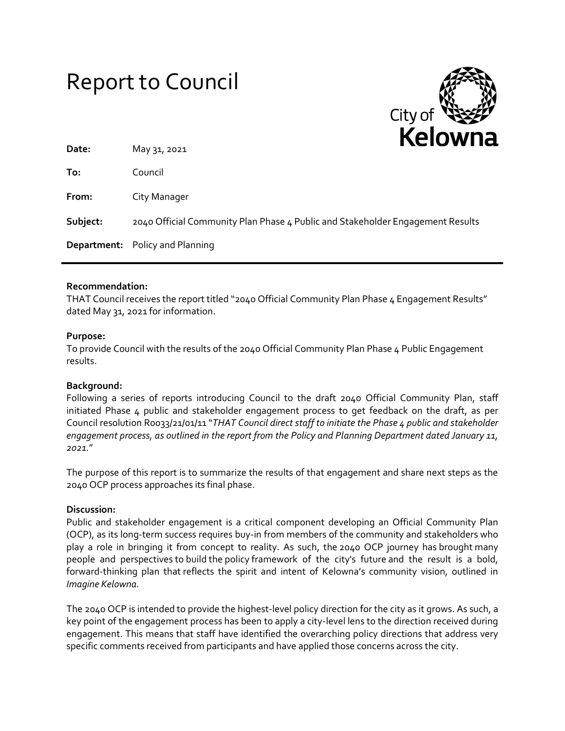# Report to Council



| Date:    | .<br>May 31, 2021                                                              |
|----------|--------------------------------------------------------------------------------|
| To:      | Council                                                                        |
| From:    | City Manager                                                                   |
| Subject: | 2040 Official Community Plan Phase 4 Public and Stakeholder Engagement Results |
|          | <b>Department:</b> Policy and Planning                                         |

## **Recommendation:**

THAT Council receives the report titled "2040 Official Community Plan Phase 4 Engagement Results" dated May 31, 2021 for information.

## **Purpose:**

To provide Council with the results of the 2040 Official Community Plan Phase 4 Public Engagement results.

## **Background:**

Following a series of reports introducing Council to the draft 2040 Official Community Plan, staff initiated Phase 4 public and stakeholder engagement process to get feedback on the draft, as per Council resolution R0033/21/01/11 "*THAT Council direct staff to initiate the Phase 4 public and stakeholder engagement process, as outlined in the report from the Policy and Planning Department dated January 11, 2021.*"

The purpose of this report is to summarize the results of that engagement and share next steps as the 2040 OCP process approaches its final phase.

## **Discussion:**

Public and stakeholder engagement is a critical component developing an Official Community Plan (OCP), as its long-term success requires buy-in from members of the community and stakeholders who play a role in bringing it from concept to reality. As such, the 2040 OCP journey has brought many people and perspectives to build the policy framework of the city's future and the result is a bold, forward-thinking plan that reflects the spirit and intent of Kelowna's community vision, outlined in *Imagine Kelowna.*

The 2040 OCP is intended to provide the highest-level policy direction for the city as it grows. As such, a key point of the engagement process has been to apply a city-level lens to the direction received during engagement. This means that staff have identified the overarching policy directions that address very specific comments received from participants and have applied those concerns across the city.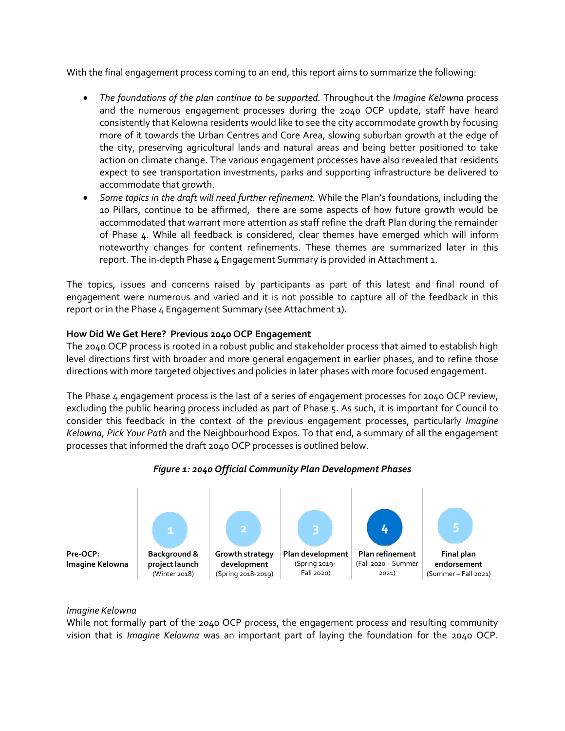With the final engagement process coming to an end, this report aims to summarize the following:

- *The foundations of the plan continue to be supported.* Throughout the *Imagine Kelowna* process and the numerous engagement processes during the 2040 OCP update, staff have heard consistently that Kelowna residents would like to see the city accommodate growth by focusing more of it towards the Urban Centres and Core Area, slowing suburban growth at the edge of the city, preserving agricultural lands and natural areas and being better positioned to take action on climate change. The various engagement processes have also revealed that residents expect to see transportation investments, parks and supporting infrastructure be delivered to accommodate that growth.
- *Some topics in the draft will need further refinement.* While the Plan's foundations, including the 10 Pillars, continue to be affirmed, there are some aspects of how future growth would be accommodated that warrant more attention as staff refine the draft Plan during the remainder of Phase 4. While all feedback is considered, clear themes have emerged which will inform noteworthy changes for content refinements. These themes are summarized later in this report. The in-depth Phase 4 Engagement Summary is provided in Attachment 1.

The topics, issues and concerns raised by participants as part of this latest and final round of engagement were numerous and varied and it is not possible to capture all of the feedback in this report or in the Phase 4 Engagement Summary (see Attachment 1).

## **How Did We Get Here? Previous 2040 OCP Engagement**

The 2040 OCP process is rooted in a robust public and stakeholder process that aimed to establish high level directions first with broader and more general engagement in earlier phases, and to refine those directions with more targeted objectives and policies in later phases with more focused engagement.

The Phase 4 engagement process is the last of a series of engagement processes for 2040 OCP review, excluding the public hearing process included as part of Phase 5. As such, it is important for Council to consider this feedback in the context of the previous engagement processes, particularly *Imagine Kelowna, Pick Your Path* and the Neighbourhood Expos. To that end, a summary of all the engagement processes that informed the draft 2040 OCP processes is outlined below.



## *Figure 1: 2040 Official Community Plan Development Phases*

#### *Imagine Kelowna*

While not formally part of the 2040 OCP process, the engagement process and resulting community vision that is *Imagine Kelowna* was an important part of laying the foundation for the 2040 OCP.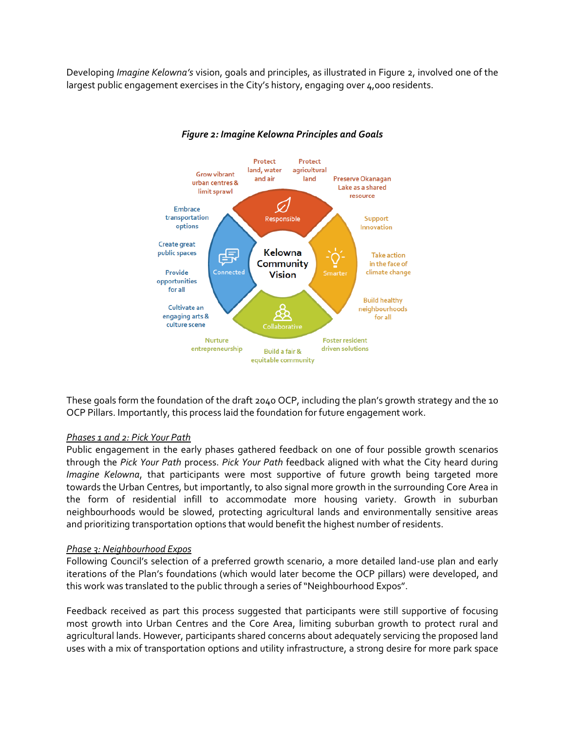Developing *Imagine Kelowna's* vision, goals and principles, as illustrated in Figure 2, involved one of the largest public engagement exercises in the City's history, engaging over 4,000 residents.



# *Figure 2: Imagine Kelowna Principles and Goals*

These goals form the foundation of the draft 2040 OCP, including the plan's growth strategy and the 10 OCP Pillars. Importantly, this process laid the foundation for future engagement work.

## *Phases 1 and 2: Pick Your Path*

Public engagement in the early phases gathered feedback on one of four possible growth scenarios through the *Pick Your Path* process. *Pick Your Path* feedback aligned with what the City heard during *Imagine Kelowna*, that participants were most supportive of future growth being targeted more towards the Urban Centres, but importantly, to also signal more growth in the surrounding Core Area in the form of residential infill to accommodate more housing variety. Growth in suburban neighbourhoods would be slowed, protecting agricultural lands and environmentally sensitive areas and prioritizing transportation options that would benefit the highest number of residents.

## *Phase 3: Neighbourhood Expos*

Following Council's selection of a preferred growth scenario, a more detailed land-use plan and early iterations of the Plan's foundations (which would later become the OCP pillars) were developed, and this work was translated to the public through a series of "Neighbourhood Expos".

Feedback received as part this process suggested that participants were still supportive of focusing most growth into Urban Centres and the Core Area, limiting suburban growth to protect rural and agricultural lands. However, participants shared concerns about adequately servicing the proposed land uses with a mix of transportation options and utility infrastructure, a strong desire for more park space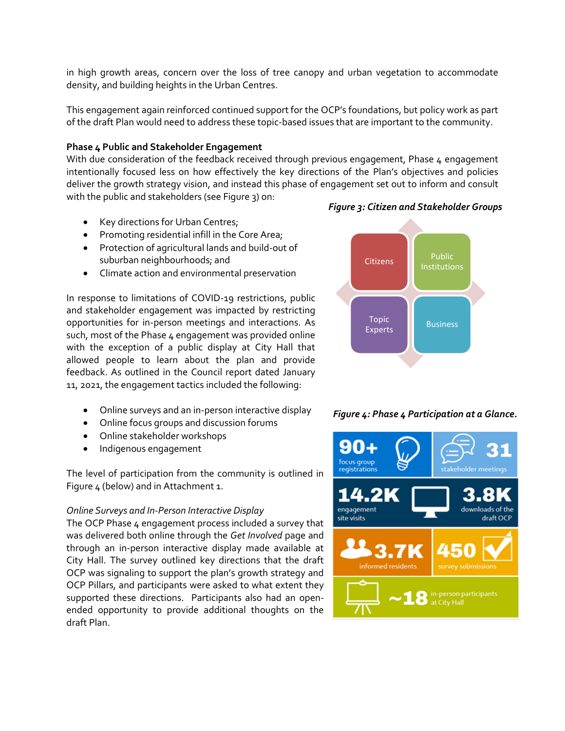in high growth areas, concern over the loss of tree canopy and urban vegetation to accommodate density, and building heights in the Urban Centres.

This engagement again reinforced continued support for the OCP's foundations, but policy work as part of the draft Plan would need to address these topic-based issues that are important to the community.

## **Phase 4 Public and Stakeholder Engagement**

With due consideration of the feedback received through previous engagement, Phase 4 engagement intentionally focused less on how effectively the key directions of the Plan's objectives and policies deliver the growth strategy vision, and instead this phase of engagement set out to inform and consult with the public and stakeholders (see Figure 3) on:

- Key directions for Urban Centres;
- Promoting residential infill in the Core Area;
- Protection of agricultural lands and build-out of suburban neighbourhoods; and
- Climate action and environmental preservation

In response to limitations of COVID-19 restrictions, public and stakeholder engagement was impacted by restricting opportunities for in-person meetings and interactions. As such, most of the Phase 4 engagement was provided online with the exception of a public display at City Hall that allowed people to learn about the plan and provide feedback. As outlined in the Council report dated January 11, 2021, the engagement tactics included the following:

- Online surveys and an in-person interactive display
- Online focus groups and discussion forums
- Online stakeholder workshops
- Indigenous engagement

The level of participation from the community is outlined in Figure 4 (below) and in Attachment 1.

#### *Online Surveys and In-Person Interactive Display*

The OCP Phase 4 engagement process included a survey that was delivered both online through the *Get Involved* page and through an in-person interactive display made available at City Hall. The survey outlined key directions that the draft OCP was signaling to support the plan's growth strategy and OCP Pillars, and participants were asked to what extent they supported these directions. Participants also had an openended opportunity to provide additional thoughts on the draft Plan.



## *Figure 4: Phase 4 Participation at a Glance.*



#### *Figure 3: Citizen and Stakeholder Groups*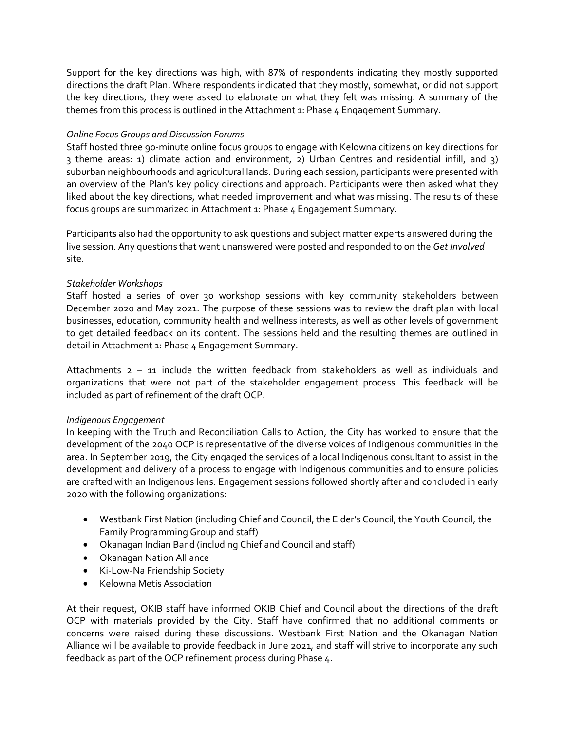Support for the key directions was high, with 87% of respondents indicating they mostly supported directions the draft Plan. Where respondents indicated that they mostly, somewhat, or did not support the key directions, they were asked to elaborate on what they felt was missing. A summary of the themes from this process is outlined in the Attachment 1: Phase 4 Engagement Summary.

# *Online Focus Groups and Discussion Forums*

Staff hosted three 90-minute online focus groups to engage with Kelowna citizens on key directions for 3 theme areas: 1) climate action and environment, 2) Urban Centres and residential infill, and 3) suburban neighbourhoods and agricultural lands. During each session, participants were presented with an overview of the Plan's key policy directions and approach. Participants were then asked what they liked about the key directions, what needed improvement and what was missing. The results of these focus groups are summarized in Attachment 1: Phase 4 Engagement Summary.

Participants also had the opportunity to ask questions and subject matter experts answered during the live session. Any questions that went unanswered were posted and responded to on the *Get Involved* site.

## *Stakeholder Workshops*

Staff hosted a series of over 30 workshop sessions with key community stakeholders between December 2020 and May 2021. The purpose of these sessions was to review the draft plan with local businesses, education, community health and wellness interests, as well as other levels of government to get detailed feedback on its content. The sessions held and the resulting themes are outlined in detail in Attachment 1: Phase 4 Engagement Summary.

Attachments 2 – 11 include the written feedback from stakeholders as well as individuals and organizations that were not part of the stakeholder engagement process. This feedback will be included as part of refinement of the draft OCP.

## *Indigenous Engagement*

In keeping with the Truth and Reconciliation Calls to Action, the City has worked to ensure that the development of the 2040 OCP is representative of the diverse voices of Indigenous communities in the area. In September 2019, the City engaged the services of a local Indigenous consultant to assist in the development and delivery of a process to engage with Indigenous communities and to ensure policies are crafted with an Indigenous lens. Engagement sessions followed shortly after and concluded in early 2020 with the following organizations:

- Westbank First Nation (including Chief and Council, the Elder's Council, the Youth Council, the Family Programming Group and staff)
- Okanagan Indian Band (including Chief and Council and staff)
- Okanagan Nation Alliance
- Ki-Low-Na Friendship Society
- Kelowna Metis Association

At their request, OKIB staff have informed OKIB Chief and Council about the directions of the draft OCP with materials provided by the City. Staff have confirmed that no additional comments or concerns were raised during these discussions. Westbank First Nation and the Okanagan Nation Alliance will be available to provide feedback in June 2021, and staff will strive to incorporate any such feedback as part of the OCP refinement process during Phase 4.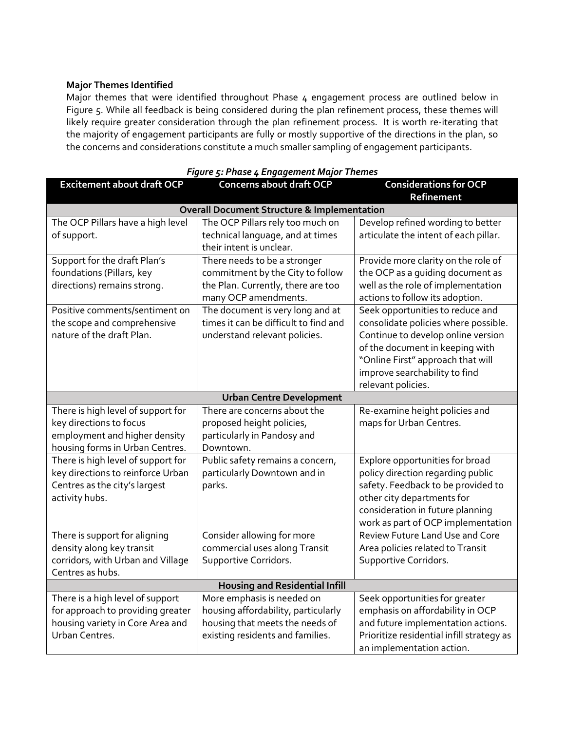## **Major Themes Identified**

Major themes that were identified throughout Phase 4 engagement process are outlined below in Figure 5. While all feedback is being considered during the plan refinement process, these themes will likely require greater consideration through the plan refinement process. It is worth re-iterating that the majority of engagement participants are fully or mostly supportive of the directions in the plan, so the concerns and considerations constitute a much smaller sampling of engagement participants.

| Figure 5: Phase 4 Engagement Major Themes                                                                                         |                                                                                                                                          |                                                                                                                                                                                                                                               |  |  |  |  |
|-----------------------------------------------------------------------------------------------------------------------------------|------------------------------------------------------------------------------------------------------------------------------------------|-----------------------------------------------------------------------------------------------------------------------------------------------------------------------------------------------------------------------------------------------|--|--|--|--|
| <b>Excitement about draft OCP</b>                                                                                                 | <b>Concerns about draft OCP</b>                                                                                                          | <b>Considerations for OCP</b><br><b>Refinement</b>                                                                                                                                                                                            |  |  |  |  |
| <b>Overall Document Structure &amp; Implementation</b>                                                                            |                                                                                                                                          |                                                                                                                                                                                                                                               |  |  |  |  |
| The OCP Pillars have a high level<br>of support.                                                                                  | The OCP Pillars rely too much on<br>technical language, and at times<br>their intent is unclear.                                         | Develop refined wording to better<br>articulate the intent of each pillar.                                                                                                                                                                    |  |  |  |  |
| Support for the draft Plan's<br>foundations (Pillars, key<br>directions) remains strong.                                          | There needs to be a stronger<br>commitment by the City to follow<br>the Plan. Currently, there are too<br>many OCP amendments.           | Provide more clarity on the role of<br>the OCP as a guiding document as<br>well as the role of implementation<br>actions to follow its adoption.                                                                                              |  |  |  |  |
| Positive comments/sentiment on<br>the scope and comprehensive<br>nature of the draft Plan.                                        | The document is very long and at<br>times it can be difficult to find and<br>understand relevant policies.                               | Seek opportunities to reduce and<br>consolidate policies where possible.<br>Continue to develop online version<br>of the document in keeping with<br>"Online First" approach that will<br>improve searchability to find<br>relevant policies. |  |  |  |  |
| <b>Urban Centre Development</b>                                                                                                   |                                                                                                                                          |                                                                                                                                                                                                                                               |  |  |  |  |
| There is high level of support for<br>key directions to focus<br>employment and higher density<br>housing forms in Urban Centres. | There are concerns about the<br>proposed height policies,<br>particularly in Pandosy and<br>Downtown.                                    | Re-examine height policies and<br>maps for Urban Centres.                                                                                                                                                                                     |  |  |  |  |
| There is high level of support for<br>key directions to reinforce Urban<br>Centres as the city's largest<br>activity hubs.        | Public safety remains a concern,<br>particularly Downtown and in<br>parks.                                                               | Explore opportunities for broad<br>policy direction regarding public<br>safety. Feedback to be provided to<br>other city departments for<br>consideration in future planning<br>work as part of OCP implementation                            |  |  |  |  |
| There is support for aligning<br>density along key transit<br>corridors, with Urban and Village<br>Centres as hubs.               | Consider allowing for more<br>commercial uses along Transit<br>Supportive Corridors.                                                     | Review Future Land Use and Core<br>Area policies related to Transit<br>Supportive Corridors.                                                                                                                                                  |  |  |  |  |
| <b>Housing and Residential Infill</b>                                                                                             |                                                                                                                                          |                                                                                                                                                                                                                                               |  |  |  |  |
| There is a high level of support<br>for approach to providing greater<br>housing variety in Core Area and<br>Urban Centres.       | More emphasis is needed on<br>housing affordability, particularly<br>housing that meets the needs of<br>existing residents and families. | Seek opportunities for greater<br>emphasis on affordability in OCP<br>and future implementation actions.<br>Prioritize residential infill strategy as<br>an implementation action.                                                            |  |  |  |  |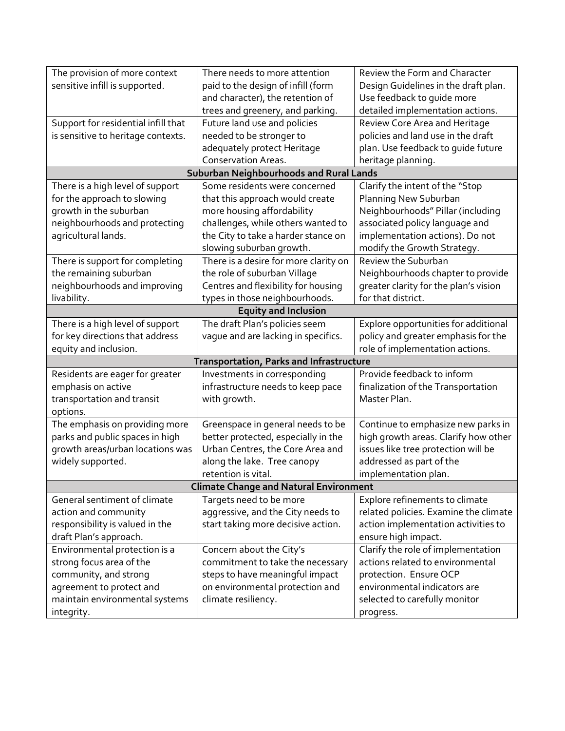| The provision of more context                 | There needs to more attention            | Review the Form and Character         |  |  |  |
|-----------------------------------------------|------------------------------------------|---------------------------------------|--|--|--|
| sensitive infill is supported.                | paid to the design of infill (form       | Design Guidelines in the draft plan.  |  |  |  |
|                                               | and character), the retention of         | Use feedback to guide more            |  |  |  |
|                                               | trees and greenery, and parking.         | detailed implementation actions.      |  |  |  |
| Support for residential infill that           | Future land use and policies             | Review Core Area and Heritage         |  |  |  |
| is sensitive to heritage contexts.            | needed to be stronger to                 | policies and land use in the draft    |  |  |  |
|                                               | adequately protect Heritage              | plan. Use feedback to guide future    |  |  |  |
|                                               | <b>Conservation Areas.</b>               | heritage planning.                    |  |  |  |
| Suburban Neighbourhoods and Rural Lands       |                                          |                                       |  |  |  |
| There is a high level of support              | Some residents were concerned            | Clarify the intent of the "Stop       |  |  |  |
| for the approach to slowing                   | that this approach would create          | Planning New Suburban                 |  |  |  |
| growth in the suburban                        | more housing affordability               | Neighbourhoods" Pillar (including     |  |  |  |
| neighbourhoods and protecting                 | challenges, while others wanted to       | associated policy language and        |  |  |  |
| agricultural lands.                           | the City to take a harder stance on      | implementation actions). Do not       |  |  |  |
|                                               | slowing suburban growth.                 | modify the Growth Strategy.           |  |  |  |
| There is support for completing               | There is a desire for more clarity on    | Review the Suburban                   |  |  |  |
| the remaining suburban                        | the role of suburban Village             | Neighbourhoods chapter to provide     |  |  |  |
| neighbourhoods and improving                  | Centres and flexibility for housing      | greater clarity for the plan's vision |  |  |  |
| livability.                                   | types in those neighbourhoods.           | for that district.                    |  |  |  |
| <b>Equity and Inclusion</b>                   |                                          |                                       |  |  |  |
| There is a high level of support              | The draft Plan's policies seem           | Explore opportunities for additional  |  |  |  |
| for key directions that address               | vague and are lacking in specifics.      | policy and greater emphasis for the   |  |  |  |
| equity and inclusion.                         |                                          | role of implementation actions.       |  |  |  |
|                                               | Transportation, Parks and Infrastructure |                                       |  |  |  |
| Residents are eager for greater               | Investments in corresponding             | Provide feedback to inform            |  |  |  |
| emphasis on active                            | infrastructure needs to keep pace        | finalization of the Transportation    |  |  |  |
| transportation and transit                    | with growth.                             | Master Plan.                          |  |  |  |
| options.                                      |                                          |                                       |  |  |  |
| The emphasis on providing more                | Greenspace in general needs to be        | Continue to emphasize new parks in    |  |  |  |
| parks and public spaces in high               | better protected, especially in the      | high growth areas. Clarify how other  |  |  |  |
| growth areas/urban locations was              | Urban Centres, the Core Area and         | issues like tree protection will be   |  |  |  |
| widely supported.                             | along the lake. Tree canopy              | addressed as part of the              |  |  |  |
|                                               | retention is vital.                      | implementation plan.                  |  |  |  |
| <b>Climate Change and Natural Environment</b> |                                          |                                       |  |  |  |
| General sentiment of climate                  | Targets need to be more                  | Explore refinements to climate        |  |  |  |
| action and community                          | aggressive, and the City needs to        | related policies. Examine the climate |  |  |  |
| responsibility is valued in the               | start taking more decisive action.       | action implementation activities to   |  |  |  |
| draft Plan's approach.                        |                                          | ensure high impact.                   |  |  |  |
| Environmental protection is a                 | Concern about the City's                 | Clarify the role of implementation    |  |  |  |
| strong focus area of the                      | commitment to take the necessary         | actions related to environmental      |  |  |  |
| community, and strong                         | steps to have meaningful impact          | protection. Ensure OCP                |  |  |  |
| agreement to protect and                      | on environmental protection and          | environmental indicators are          |  |  |  |
| maintain environmental systems                | climate resiliency.                      | selected to carefully monitor         |  |  |  |
| integrity.                                    |                                          | progress.                             |  |  |  |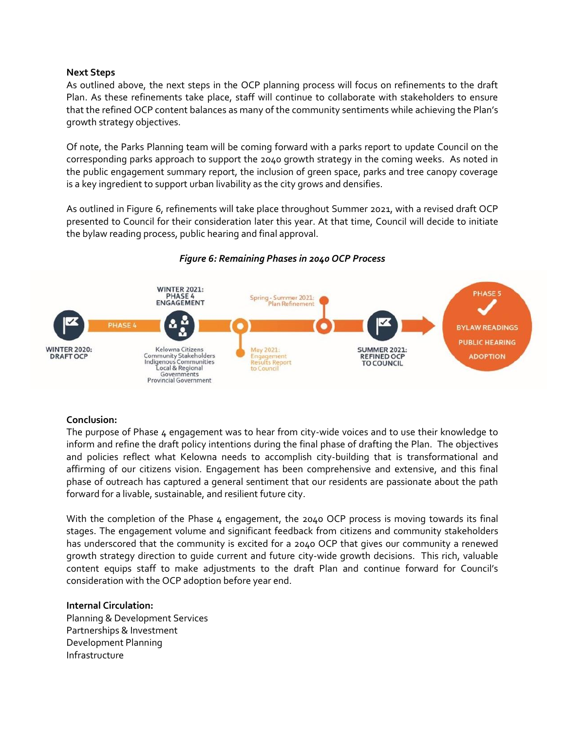#### **Next Steps**

As outlined above, the next steps in the OCP planning process will focus on refinements to the draft Plan. As these refinements take place, staff will continue to collaborate with stakeholders to ensure that the refined OCP content balances as many of the community sentiments while achieving the Plan's growth strategy objectives.

Of note, the Parks Planning team will be coming forward with a parks report to update Council on the corresponding parks approach to support the 2040 growth strategy in the coming weeks. As noted in the public engagement summary report, the inclusion of green space, parks and tree canopy coverage is a key ingredient to support urban livability as the city grows and densifies.

As outlined in Figure 6, refinements will take place throughout Summer 2021, with a revised draft OCP presented to Council for their consideration later this year. At that time, Council will decide to initiate the bylaw reading process, public hearing and final approval.



## *Figure 6: Remaining Phases in 2040 OCP Process*

## **Conclusion:**

The purpose of Phase 4 engagement was to hear from city-wide voices and to use their knowledge to inform and refine the draft policy intentions during the final phase of drafting the Plan. The objectives and policies reflect what Kelowna needs to accomplish city-building that is transformational and affirming of our citizens vision. Engagement has been comprehensive and extensive, and this final phase of outreach has captured a general sentiment that our residents are passionate about the path forward for a livable, sustainable, and resilient future city.

With the completion of the Phase  $\mu$  engagement, the 2040 OCP process is moving towards its final stages. The engagement volume and significant feedback from citizens and community stakeholders has underscored that the community is excited for a 2040 OCP that gives our community a renewed growth strategy direction to guide current and future city-wide growth decisions. This rich, valuable content equips staff to make adjustments to the draft Plan and continue forward for Council's consideration with the OCP adoption before year end.

## **Internal Circulation:**

Planning & Development Services Partnerships & Investment Development Planning Infrastructure